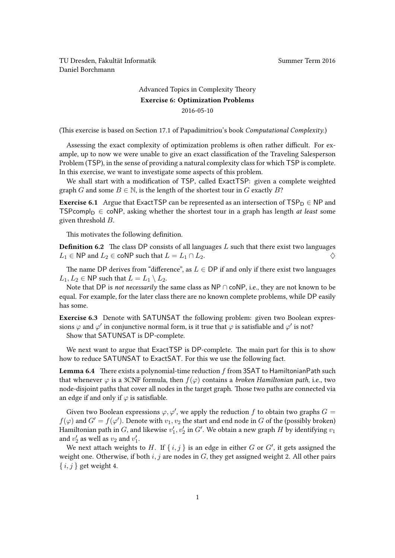TU Dresden, Fakultät Informatik Nummer Term 2016 Daniel Borchmann

## [Advanced Topics in Complexity Theory](https://ddll.inf.tu-dresden.de/web/Advanced_Topics_in_Complexity_Theory_(SS2016)) Exercise 6: Optimization Problems 2016-05-10

(This exercise is based on Section 17.1 of Papadimitriou's book Computational Complexity.)

Assessing the exact complexity of optimization problems is often rather difficult. For example, up to now we were unable to give an exact classification of the Traveling Salesperson Problem (TSP), in the sense of providing a natural complexity class for which TSP is complete. In this exercise, we want to investigate some aspects of this problem.

We shall start with a modification of TSP, called ExactTSP: given a complete weighted graph G and some  $B \in \mathbb{N}$ , is the length of the shortest tour in G exactly B?

**Exercise 6.1** Argue that ExactTSP can be represented as an intersection of  $TSP<sub>D</sub> \in NP$  and TSPcompl<sub>D</sub>  $\in$  coNP, asking whether the shortest tour in a graph has length *at least* some given threshold B.

This motivates the following definition.

**Definition 6.2** The class DP consists of all languages  $L$  such that there exist two languages  $L_1 \in \textsf{NP}$  and  $L_2 \in \textsf{coNP}$  such that  $L = L_1 \cap L_2$ .

The name DP derives from "difference", as  $L \in \text{DP}$  if and only if there exist two languages  $L_1, L_2 \in \mathsf{NP}$  such that  $L = L_1 \setminus L_2$ .

Note that DP is not necessarily the same class as NP ∩ coNP, i.e., they are not known to be equal. For example, for the later class there are no known complete problems, while DP easily has some.

Exercise 6.3 Denote with SATUNSAT the following problem: given two Boolean expressions  $\varphi$  and  $\varphi'$  in conjunctive normal form, is it true that  $\varphi$  is satisfiable and  $\varphi'$  is not?

Show that SATUNSAT is DP-complete.

We next want to argue that ExactTSP is DP-complete. The main part for this is to show how to reduce SATUNSAT to ExactSAT. For this we use the following fact.

**Lemma 6.4** There exists a polynomial-time reduction  $f$  from 3SAT to HamiltonianPath such that whenever  $\varphi$  is a 3CNF formula, then  $f(\varphi)$  contains a *broken Hamiltonian path*, i.e., two node-disjoint paths that cover all nodes in the target graph. Those two paths are connected via an edge if and only if  $\varphi$  is satisfiable.

Given two Boolean expressions  $\varphi, \varphi'$ , we apply the reduction f to obtain two graphs  $G =$  $f(\varphi)$  and  $G'=f(\varphi')$ . Denote with  $v_1,v_2$  the start and end node in  $G$  of the (possibly broken) Hamiltonian path in  $G$ , and likewise  $v_1', v_2'$  in  $G'.$  We obtain a new graph  $H$  by identifying  $v_1$ and  $v_2'$  as well as  $v_2$  and  $v_1'$ .

We next attach weights to H. If  $\{i, j\}$  is an edge in either G or G', it gets assigned the weight one. Otherwise, if both  $i, j$  are nodes in  $G$ , they get assigned weight 2. All other pairs  $\{i, j\}$  get weight 4.